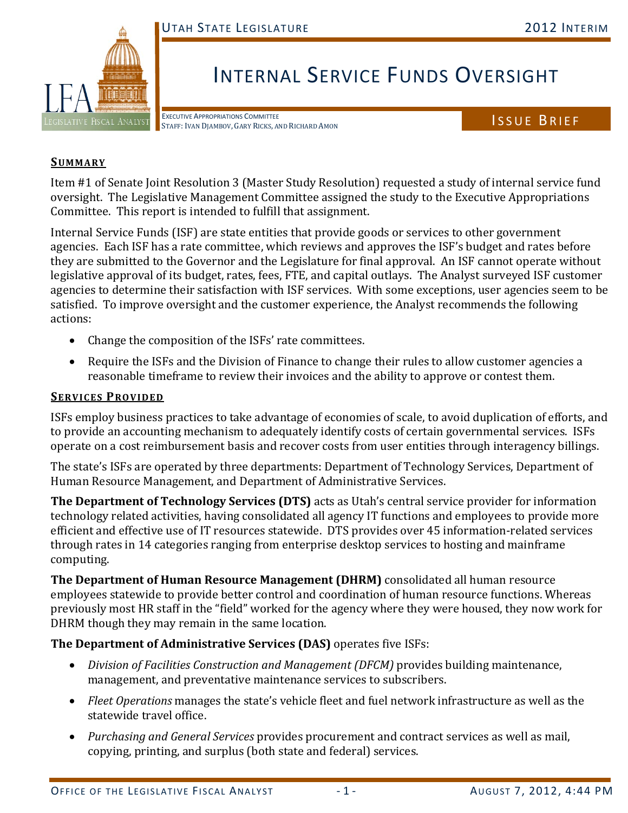

# INTERNAL SERVICE FUNDS OVERSIGHT

EXECUTIVE APPROPRIATIONS COMMITTEE EXECUTIVE APPROPRIATIONS COMMITTEE<br>STAFF: IVAN DJAMBOV, GARY RICKS, AND RICHARD AMON

#### **SUMMARY**

Item #1 of Senate Joint Resolution 3 (Master Study Resolution) requested a study of internal service fund oversight. The Legislative Management Committee assigned the study to the Executive Appropriations Committee. This report is intended to fulfill that assignment.

Internal Service Funds (ISF) are state entities that provide goods or services to other government agencies. Each ISF has a rate committee, which reviews and approves the ISF's budget and rates before they are submitted to the Governor and the Legislature for final approval. An ISF cannot operate without legislative approval of its budget, rates, fees, FTE, and capital outlays. The Analyst surveyed ISF customer agencies to determine their satisfaction with ISF services. With some exceptions, user agencies seem to be satisfied. To improve oversight and the customer experience, the Analyst recommends the following actions:

- Change the composition of the ISFs' rate committees.
- Require the ISFs and the Division of Finance to change their rules to allow customer agencies a reasonable timeframe to review their invoices and the ability to approve or contest them.

#### **SERVICES PROVIDED**

ISFs employ business practices to take advantage of economies of scale, to avoid duplication of efforts, and to provide an accounting mechanism to adequately identify costs of certain governmental services. ISFs operate on a cost reimbursement basis and recover costs from user entities through interagency billings.

The state's ISFs are operated by three departments: Department of Technology Services, Department of Human Resource Management, and Department of Administrative Services.

**The Department of Technology Services (DTS)** acts as Utah's central service provider for information technology related activities, having consolidated all agency IT functions and employees to provide more efficient and effective use of IT resources statewide. DTS provides over 45 information-related services through rates in 14 categories ranging from enterprise desktop services to hosting and mainframe computing.

**The Department of Human Resource Management (DHRM)** consolidated all human resource employees statewide to provide better control and coordination of human resource functions. Whereas previously most HR staff in the "field" worked for the agency where they were housed, they now work for DHRM though they may remain in the same location.

# **The Department of Administrative Services (DAS)** operates five ISFs:

- *Division of Facilities Construction and Management (DFCM)* provides building maintenance, management, and preventative maintenance services to subscribers.
- *Fleet Operations* manages the state's vehicle fleet and fuel network infrastructure as well as the statewide travel office.
- *Purchasing and General Services* provides procurement and contract services as well as mail, copying, printing, and surplus (both state and federal) services.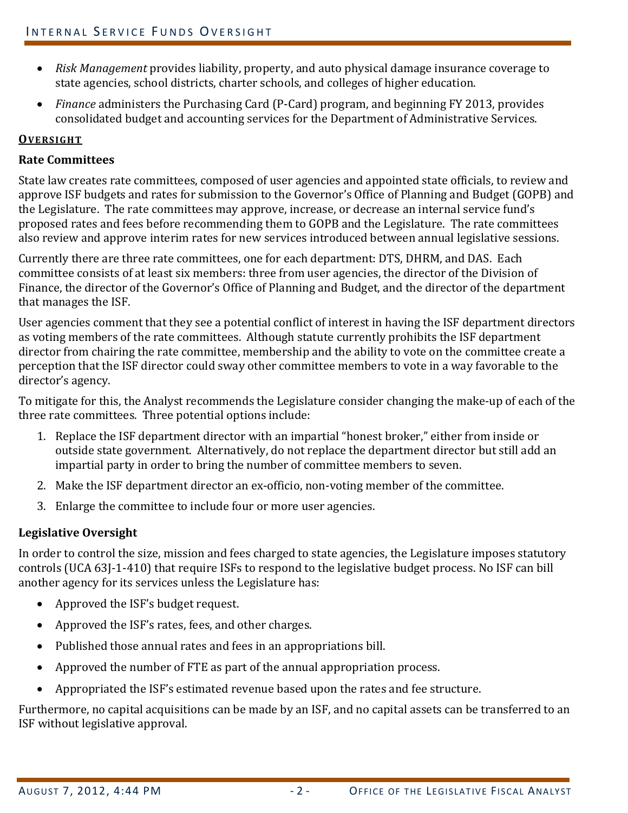- *Risk Management* provides liability, property, and auto physical damage insurance coverage to state agencies, school districts, charter schools, and colleges of higher education.
- *Finance* administers the Purchasing Card (P-Card) program, and beginning FY 2013, provides consolidated budget and accounting services for the Department of Administrative Services.

# **OVERSIGHT**

# **Rate Committees**

State law creates rate committees, composed of user agencies and appointed state officials, to review and approve ISF budgets and rates for submission to the Governor's Office of Planning and Budget (GOPB) and the Legislature. The rate committees may approve, increase, or decrease an internal service fund's proposed rates and fees before recommending them to GOPB and the Legislature. The rate committees also review and approve interim rates for new services introduced between annual legislative sessions.

Currently there are three rate committees, one for each department: DTS, DHRM, and DAS. Each committee consists of at least six members: three from user agencies, the director of the Division of Finance, the director of the Governor's Office of Planning and Budget, and the director of the department that manages the ISF.

User agencies comment that they see a potential conflict of interest in having the ISF department directors as voting members of the rate committees. Although statute currently prohibits the ISF department director from chairing the rate committee, membership and the ability to vote on the committee create a perception that the ISF director could sway other committee members to vote in a way favorable to the director's agency.

To mitigate for this, the Analyst recommends the Legislature consider changing the make-up of each of the three rate committees. Three potential options include:

- 1. Replace the ISF department director with an impartial "honest broker," either from inside or outside state government. Alternatively, do not replace the department director but still add an impartial party in order to bring the number of committee members to seven.
- 2. Make the ISF department director an ex-officio, non-voting member of the committee.
- 3. Enlarge the committee to include four or more user agencies.

# **Legislative Oversight**

In order to control the size, mission and fees charged to state agencies, the Legislature imposes statutory controls (UCA 63J-1-410) that require ISFs to respond to the legislative budget process. No ISF can bill another agency for its services unless the Legislature has:

- Approved the ISF's budget request.
- Approved the ISF's rates, fees, and other charges.
- Published those annual rates and fees in an appropriations bill.
- Approved the number of FTE as part of the annual appropriation process.
- Appropriated the ISF's estimated revenue based upon the rates and fee structure.

Furthermore, no capital acquisitions can be made by an ISF, and no capital assets can be transferred to an ISF without legislative approval.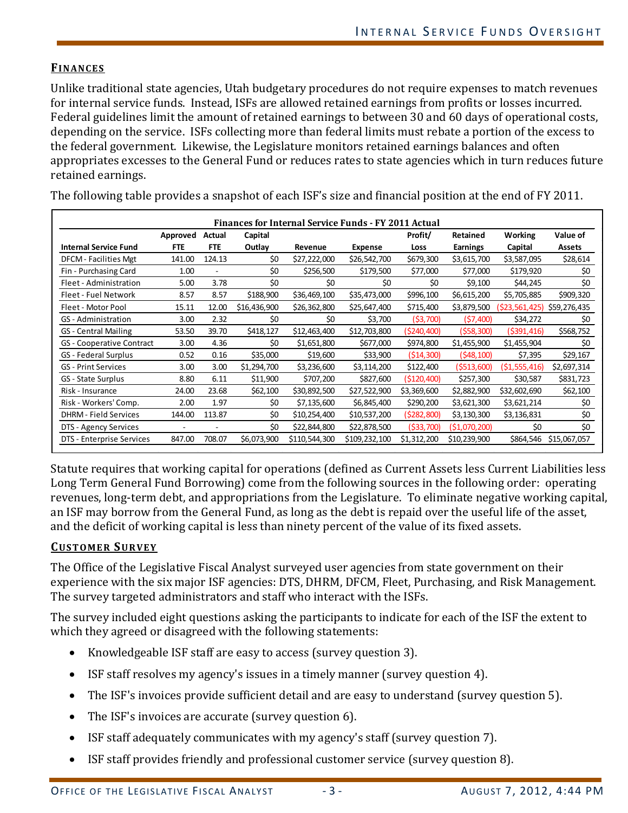#### **FINANCES**

Unlike traditional state agencies, Utah budgetary procedures do not require expenses to match revenues for internal service funds. Instead, ISFs are allowed retained earnings from profits or losses incurred. Federal guidelines limit the amount of retained earnings to between 30 and 60 days of operational costs, depending on the service. ISFs collecting more than federal limits must rebate a portion of the excess to the federal government. Likewise, the Legislature monitors retained earnings balances and often appropriates excesses to the General Fund or reduces rates to state agencies which in turn reduces future retained earnings.

| <b>Finances for Internal Service Funds - FY 2011 Actual</b> |            |                |              |               |                |              |                 |                |               |  |
|-------------------------------------------------------------|------------|----------------|--------------|---------------|----------------|--------------|-----------------|----------------|---------------|--|
|                                                             | Approved   | Actual         | Capital      |               |                | Profit/      | Retained        | Working        | Value of      |  |
| <b>Internal Service Fund</b>                                | <b>FTE</b> | <b>FTE</b>     | Outlay       | Revenue       | <b>Expense</b> | Loss         | <b>Earnings</b> | Capital        | <b>Assets</b> |  |
| DFCM - Facilities Mgt                                       | 141.00     | 124.13         | \$0          | \$27,222,000  | \$26,542,700   | \$679,300    | \$3,615,700     | \$3,587,095    | \$28,614      |  |
| Fin - Purchasing Card                                       | 1.00       | $\overline{a}$ | \$0          | \$256,500     | \$179,500      | \$77,000     | \$77,000        | \$179,920      | \$0           |  |
| Fleet - Administration                                      | 5.00       | 3.78           | \$0          | \$0           | \$0            | \$0          | \$9,100         | \$44,245       | \$0           |  |
| Fleet - Fuel Network                                        | 8.57       | 8.57           | \$188,900    | \$36,469,100  | \$35,473,000   | \$996,100    | \$6,615,200     | \$5,705,885    | \$909,320     |  |
| Fleet - Motor Pool                                          | 15.11      | 12.00          | \$16,436,900 | \$26,362,800  | \$25,647,400   | \$715,400    | \$3,879,500     | (\$23,561,425) | \$59,276,435  |  |
| GS - Administration                                         | 3.00       | 2.32           | \$0          | \$0           | \$3,700        | (53,700)     | (57,400)        | \$34,272       | \$0           |  |
| <b>GS</b> - Central Mailing                                 | 53.50      | 39.70          | \$418,127    | \$12,463,400  | \$12,703,800   | (\$240,400)  | (558, 300)      | (5391, 416)    | \$568,752     |  |
| GS - Cooperative Contract                                   | 3.00       | 4.36           | \$0          | \$1,651,800   | \$677,000      | \$974,800    | \$1,455,900     | \$1,455,904    | \$0           |  |
| GS - Federal Surplus                                        | 0.52       | 0.16           | \$35,000     | \$19,600      | \$33,900       | (514, 300)   | (548, 100)      | \$7,395        | \$29,167      |  |
| <b>GS</b> - Print Services                                  | 3.00       | 3.00           | \$1,294,700  | \$3,236,600   | \$3,114,200    | \$122,400    | (5513,600)      | (51, 555, 416) | \$2,697,314   |  |
| GS - State Surplus                                          | 8.80       | 6.11           | \$11,900     | \$707,200     | \$827,600      | ( \$120,400) | \$257,300       | \$30,587       | \$831,723     |  |
| Risk - Insurance                                            | 24.00      | 23.68          | \$62,100     | \$30,892,500  | \$27,522,900   | \$3,369,600  | \$2,882,900     | \$32,602,690   | \$62,100      |  |
| Risk - Workers' Comp.                                       | 2.00       | 1.97           | \$0          | \$7,135,600   | \$6,845,400    | \$290,200    | \$3,621,300     | \$3,621,214    | \$0           |  |
| <b>DHRM</b> - Field Services                                | 144.00     | 113.87         | \$0          | \$10,254,400  | \$10,537,200   | (\$282,800)  | \$3,130,300     | \$3,136,831    | \$0           |  |
| DTS - Agency Services                                       | ٠          | ۰              | \$0          | \$22,844,800  | \$22,878,500   | ( \$33,700)  | (51,070,200)    | \$0            | \$0           |  |
| DTS - Enterprise Services                                   | 847.00     | 708.07         | \$6,073,900  | \$110,544,300 | \$109,232,100  | \$1,312,200  | \$10,239,900    | \$864,546      | \$15,067,057  |  |

The following table provides a snapshot of each ISF's size and financial position at the end of FY 2011.

Statute requires that working capital for operations (defined as Current Assets less Current Liabilities less Long Term General Fund Borrowing) come from the following sources in the following order: operating revenues, long-term debt, and appropriations from the Legislature. To eliminate negative working capital, an ISF may borrow from the General Fund, as long as the debt is repaid over the useful life of the asset, and the deficit of working capital is less than ninety percent of the value of its fixed assets.

#### **CUSTOMER SURVEY**

The Office of the Legislative Fiscal Analyst surveyed user agencies from state government on their experience with the six major ISF agencies: DTS, DHRM, DFCM, Fleet, Purchasing, and Risk Management. The survey targeted administrators and staff who interact with the ISFs.

The survey included eight questions asking the participants to indicate for each of the ISF the extent to which they agreed or disagreed with the following statements:

- Knowledgeable ISF staff are easy to access (survey question 3).
- ISF staff resolves my agency's issues in a timely manner (survey question 4).
- The ISF's invoices provide sufficient detail and are easy to understand (survey question 5).
- The ISF's invoices are accurate (survey question 6).
- ISF staff adequately communicates with my agency's staff (survey question 7).
- ISF staff provides friendly and professional customer service (survey question 8).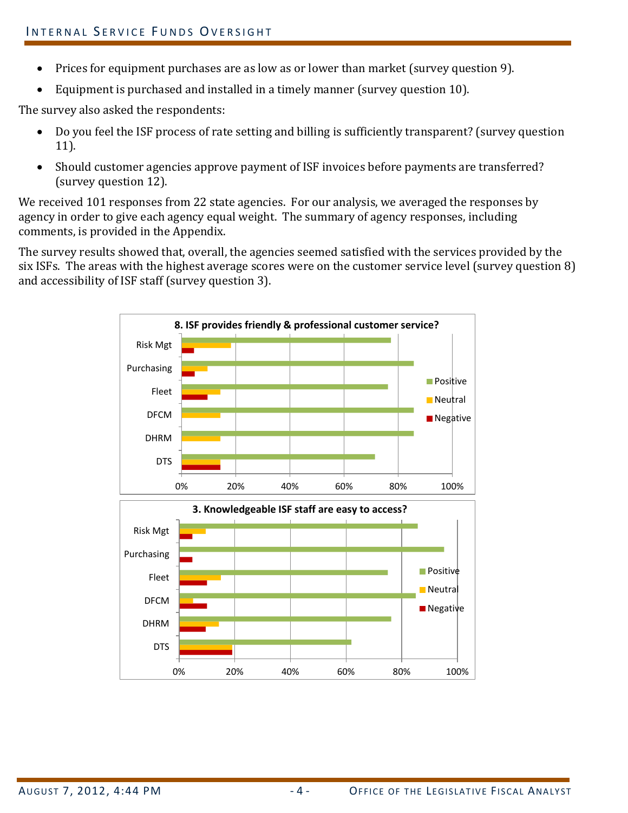- Prices for equipment purchases are as low as or lower than market (survey question 9).
- Equipment is purchased and installed in a timely manner (survey question 10).

The survey also asked the respondents:

- Do you feel the ISF process of rate setting and billing is sufficiently transparent? (survey question 11).
- Should customer agencies approve payment of ISF invoices before payments are transferred? (survey question 12).

We received 101 responses from 22 state agencies. For our analysis, we averaged the responses by agency in order to give each agency equal weight. The summary of agency responses, including comments, is provided in the Appendix.

The survey results showed that, overall, the agencies seemed satisfied with the services provided by the six ISFs. The areas with the highest average scores were on the customer service level (survey question 8) and accessibility of ISF staff (survey question 3).

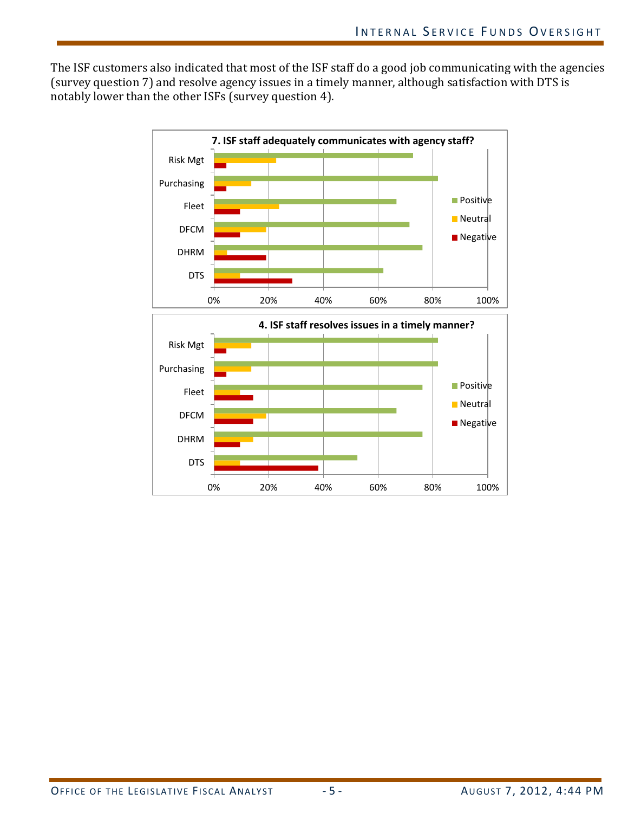The ISF customers also indicated that most of the ISF staff do a good job communicating with the agencies (survey question 7) and resolve agency issues in a timely manner, although satisfaction with DTS is notably lower than the other ISFs (survey question 4).

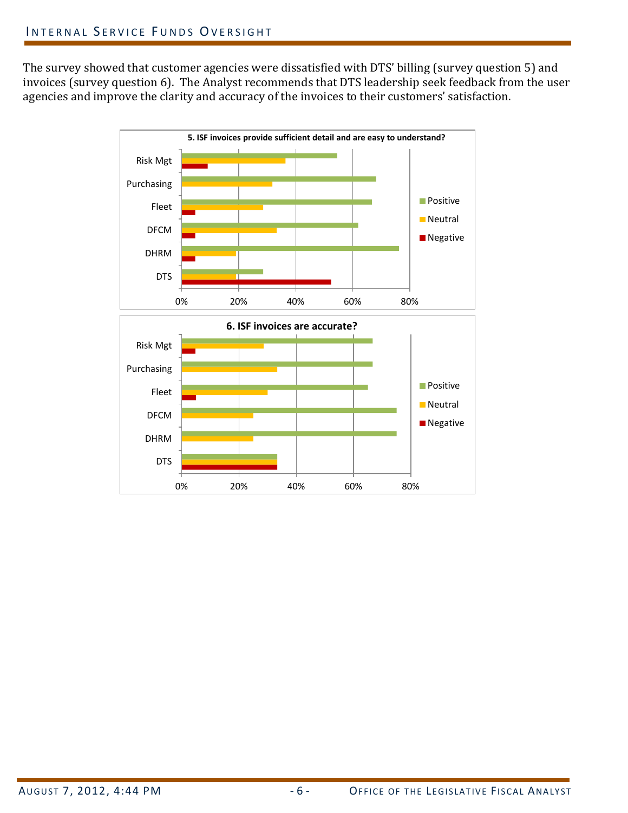The survey showed that customer agencies were dissatisfied with DTS' billing (survey question 5) and invoices (survey question 6). The Analyst recommends that DTS leadership seek feedback from the user agencies and improve the clarity and accuracy of the invoices to their customers' satisfaction.

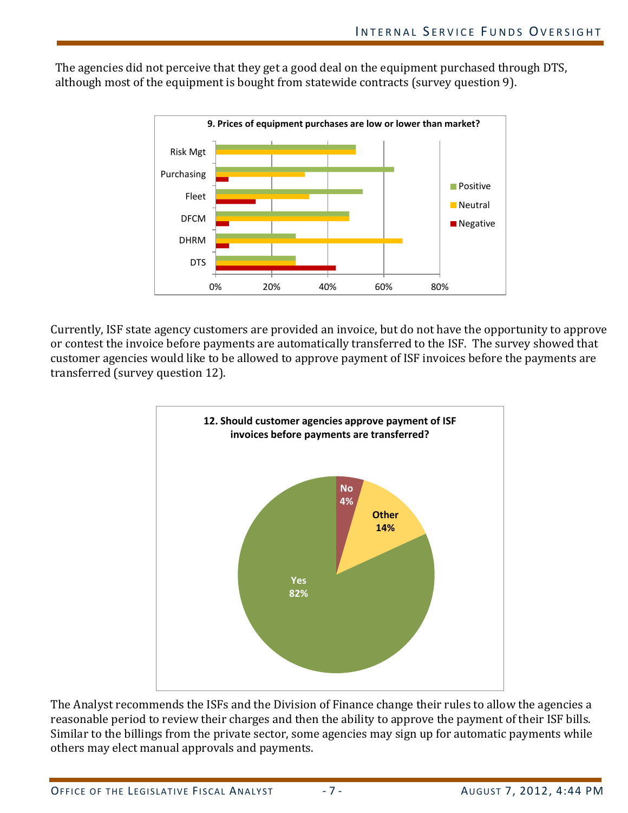The agencies did not perceive that they get a good deal on the equipment purchased through DTS, although most of the equipment is bought from statewide contracts (survey question 9).



Currently, ISF state agency customers are provided an invoice, but do not have the opportunity to approve or contest the invoice before payments are automatically transferred to the ISF. The survey showed that customer agencies would like to be allowed to approve payment of ISF invoices before the payments are transferred (survey question 12).



The Analyst recommends the ISFs and the Division of Finance change their rules to allow the agencies a reasonable period to review their charges and then the ability to approve the payment of their ISF bills. Similar to the billings from the private sector, some agencies may sign up for automatic payments while others may elect manual approvals and payments.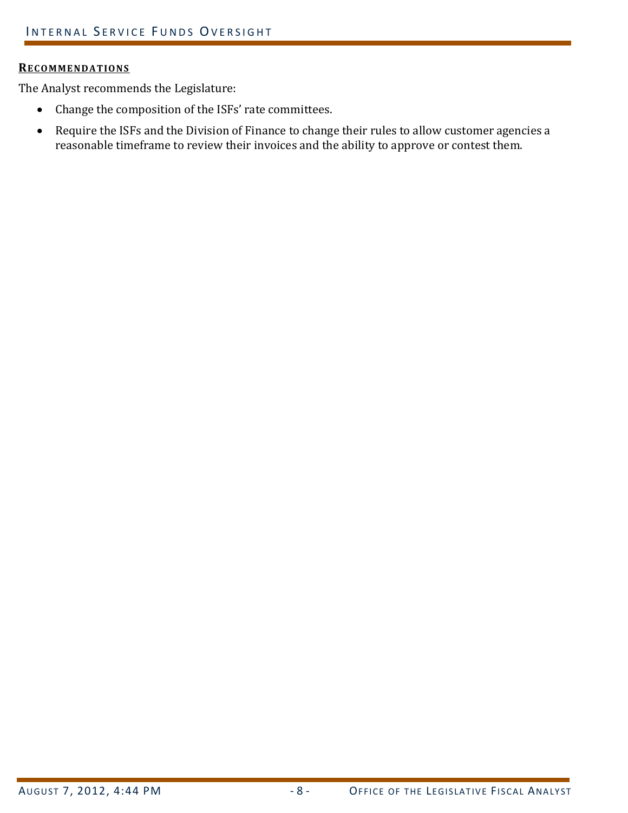#### **RECOMMENDATIONS**

The Analyst recommends the Legislature:

- Change the composition of the ISFs' rate committees.
- Require the ISFs and the Division of Finance to change their rules to allow customer agencies a reasonable timeframe to review their invoices and the ability to approve or contest them.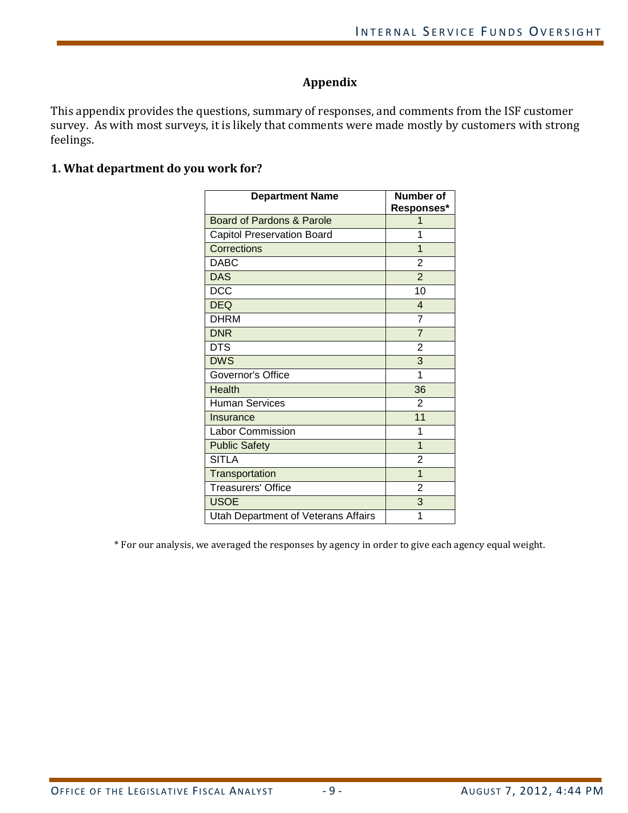# **Appendix**

This appendix provides the questions, summary of responses, and comments from the ISF customer survey. As with most surveys, it is likely that comments were made mostly by customers with strong feelings.

# **1. What department do you work for?**

| <b>Department Name</b>              | Number of      |  |  |
|-------------------------------------|----------------|--|--|
|                                     | Responses*     |  |  |
| Board of Pardons & Parole           |                |  |  |
| Capitol Preservation Board          | 1              |  |  |
| Corrections                         | $\overline{1}$ |  |  |
| <b>DABC</b>                         | 2              |  |  |
| <b>DAS</b>                          | $\overline{2}$ |  |  |
| <b>DCC</b>                          | 10             |  |  |
| <b>DEQ</b>                          | $\overline{4}$ |  |  |
| <b>DHRM</b>                         | 7              |  |  |
| <b>DNR</b>                          | $\overline{7}$ |  |  |
| <b>DTS</b>                          | $\overline{2}$ |  |  |
| <b>DWS</b>                          | 3              |  |  |
| Governor's Office                   | 1              |  |  |
| <b>Health</b>                       | 36             |  |  |
| <b>Human Services</b>               | $\overline{2}$ |  |  |
| Insurance                           | 11             |  |  |
| Labor Commission                    | 1              |  |  |
| <b>Public Safety</b>                | $\overline{1}$ |  |  |
| <b>SITLA</b>                        | $\overline{2}$ |  |  |
| Transportation                      | $\overline{1}$ |  |  |
| <b>Treasurers' Office</b>           | $\overline{2}$ |  |  |
| <b>USOE</b>                         | 3              |  |  |
| Utah Department of Veterans Affairs | 1              |  |  |

\* For our analysis, we averaged the responses by agency in order to give each agency equal weight.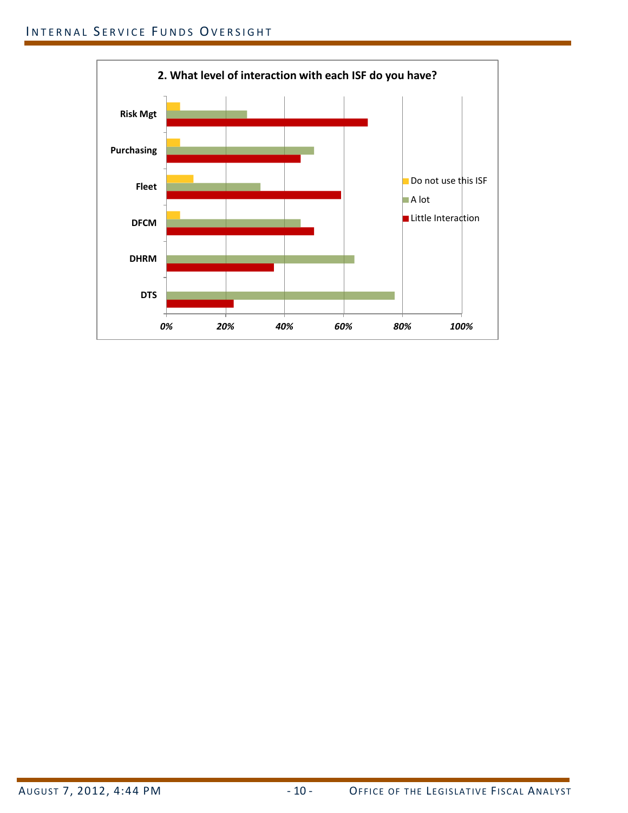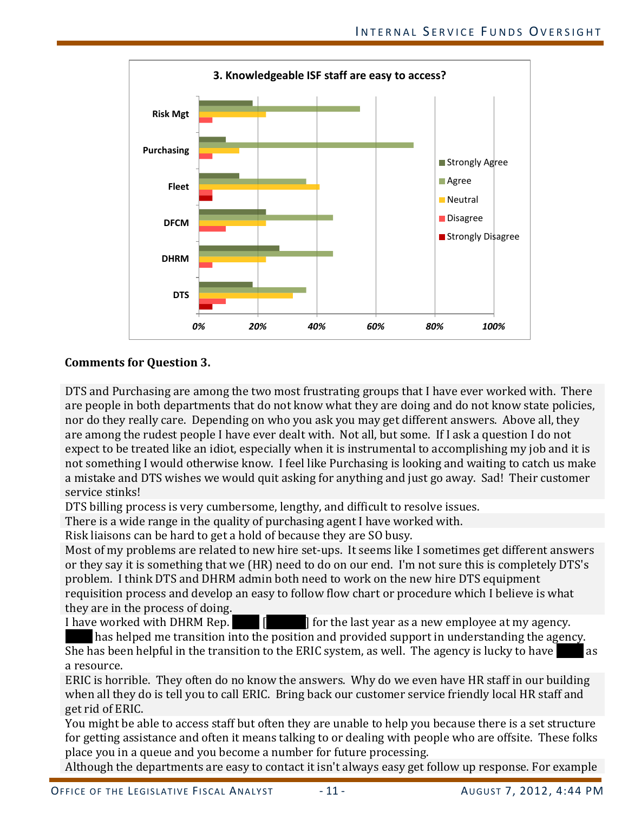

# **Comments for Question 3.**

DTS and Purchasing are among the two most frustrating groups that I have ever worked with. There are people in both departments that do not know what they are doing and do not know state policies, nor do they really care. Depending on who you ask you may get different answers. Above all, they are among the rudest people I have ever dealt with. Not all, but some. If I ask a question I do not expect to be treated like an idiot, especially when it is instrumental to accomplishing my job and it is not something I would otherwise know. I feel like Purchasing is looking and waiting to catch us make a mistake and DTS wishes we would quit asking for anything and just go away. Sad! Their customer service stinks!

DTS billing process is very cumbersome, lengthy, and difficult to resolve issues.

There is a wide range in the quality of purchasing agent I have worked with.

Risk liaisons can be hard to get a hold of because they are SO busy.

Most of my problems are related to new hire set-ups. It seems like I sometimes get different answers or they say it is something that we (HR) need to do on our end. I'm not sure this is completely DTS's problem. I think DTS and DHRM admin both need to work on the new hire DTS equipment requisition process and develop an easy to follow flow chart or procedure which I believe is what they are in the process of doing.<br>I have worked with DHRM Rep.

 $\begin{bmatrix} 1 & 1 \end{bmatrix}$  for the last year as a new employee at my agency.

has helped me transition into the position and provided support in understanding the agency. She has been helpful in the transition to the ERIC system, as well. The agency is lucky to have a resource.

ERIC is horrible. They often do no know the answers. Why do we even have HR staff in our building when all they do is tell you to call ERIC. Bring back our customer service friendly local HR staff and get rid of ERIC.

You might be able to access staff but often they are unable to help you because there is a set structure for getting assistance and often it means talking to or dealing with people who are offsite. These folks place you in a queue and you become a number for future processing.

Although the departments are easy to contact it isn't always easy get follow up response. For example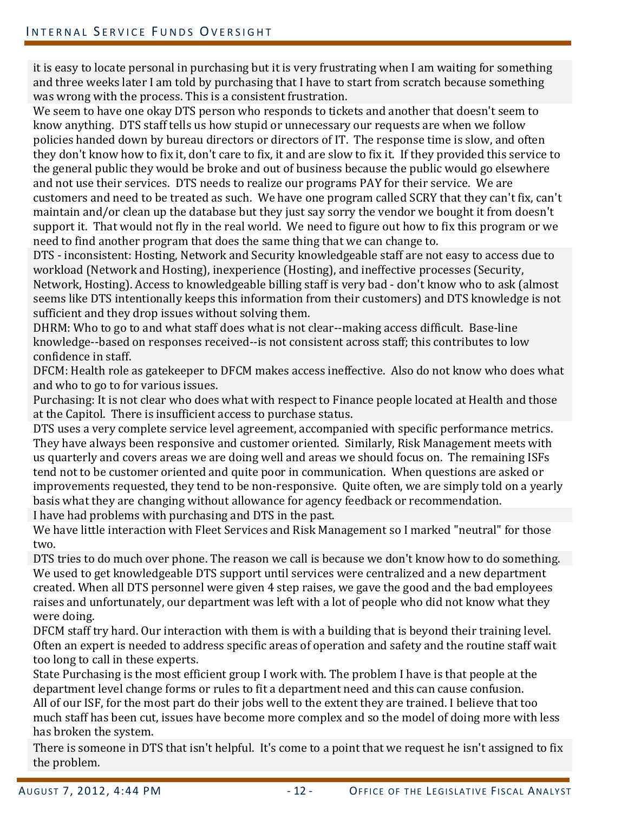it is easy to locate personal in purchasing but it is very frustrating when I am waiting for something and three weeks later I am told by purchasing that I have to start from scratch because something was wrong with the process. This is a consistent frustration.

We seem to have one okay DTS person who responds to tickets and another that doesn't seem to know anything. DTS staff tells us how stupid or unnecessary our requests are when we follow policies handed down by bureau directors or directors of IT. The response time is slow, and often they don't know how to fix it, don't care to fix, it and are slow to fix it. If they provided this service to the general public they would be broke and out of business because the public would go elsewhere and not use their services. DTS needs to realize our programs PAY for their service. We are customers and need to be treated as such. We have one program called SCRY that they can't fix, can't maintain and/or clean up the database but they just say sorry the vendor we bought it from doesn't support it. That would not fly in the real world. We need to figure out how to fix this program or we need to find another program that does the same thing that we can change to.

DTS - inconsistent: Hosting, Network and Security knowledgeable staff are not easy to access due to workload (Network and Hosting), inexperience (Hosting), and ineffective processes (Security, Network, Hosting). Access to knowledgeable billing staff is very bad - don't know who to ask (almost seems like DTS intentionally keeps this information from their customers) and DTS knowledge is not sufficient and they drop issues without solving them.

DHRM: Who to go to and what staff does what is not clear--making access difficult. Base-line knowledge--based on responses received--is not consistent across staff; this contributes to low confidence in staff.

DFCM: Health role as gatekeeper to DFCM makes access ineffective. Also do not know who does what and who to go to for various issues.

Purchasing: It is not clear who does what with respect to Finance people located at Health and those at the Capitol. There is insufficient access to purchase status.

DTS uses a very complete service level agreement, accompanied with specific performance metrics. They have always been responsive and customer oriented. Similarly, Risk Management meets with us quarterly and covers areas we are doing well and areas we should focus on. The remaining ISFs tend not to be customer oriented and quite poor in communication. When questions are asked or improvements requested, they tend to be non-responsive. Quite often, we are simply told on a yearly basis what they are changing without allowance for agency feedback or recommendation. I have had problems with purchasing and DTS in the past.

We have little interaction with Fleet Services and Risk Management so I marked "neutral" for those two.

DTS tries to do much over phone. The reason we call is because we don't know how to do something. We used to get knowledgeable DTS support until services were centralized and a new department created. When all DTS personnel were given 4 step raises, we gave the good and the bad employees raises and unfortunately, our department was left with a lot of people who did not know what they were doing.

DFCM staff try hard. Our interaction with them is with a building that is beyond their training level. Often an expert is needed to address specific areas of operation and safety and the routine staff wait too long to call in these experts.

State Purchasing is the most efficient group I work with. The problem I have is that people at the department level change forms or rules to fit a department need and this can cause confusion. All of our ISF, for the most part do their jobs well to the extent they are trained. I believe that too much staff has been cut, issues have become more complex and so the model of doing more with less has broken the system.

There is someone in DTS that isn't helpful. It's come to a point that we request he isn't assigned to fix the problem.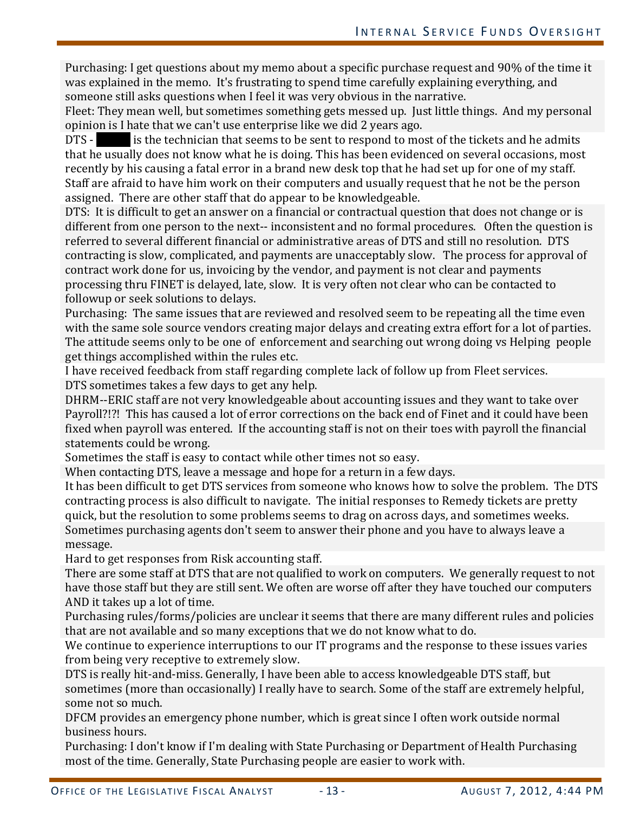Purchasing: I get questions about my memo about a specific purchase request and 90% of the time it was explained in the memo. It's frustrating to spend time carefully explaining everything, and someone still asks questions when I feel it was very obvious in the narrative.

Fleet: They mean well, but sometimes something gets messed up. Just little things. And my personal opinion is I hate that we can't use enterprise like we did 2 years ago.<br>DTS - is the technician that seems to be sent to respond to mo

is the technician that seems to be sent to respond to most of the tickets and he admits that he usually does not know what he is doing. This has been evidenced on several occasions, most recently by his causing a fatal error in a brand new desk top that he had set up for one of my staff. Staff are afraid to have him work on their computers and usually request that he not be the person assigned. There are other staff that do appear to be knowledgeable.

DTS: It is difficult to get an answer on a financial or contractual question that does not change or is different from one person to the next-- inconsistent and no formal procedures. Often the question is referred to several different financial or administrative areas of DTS and still no resolution. DTS contracting is slow, complicated, and payments are unacceptably slow. The process for approval of contract work done for us, invoicing by the vendor, and payment is not clear and payments processing thru FINET is delayed, late, slow. It is very often not clear who can be contacted to followup or seek solutions to delays.

Purchasing: The same issues that are reviewed and resolved seem to be repeating all the time even with the same sole source vendors creating major delays and creating extra effort for a lot of parties. The attitude seems only to be one of enforcement and searching out wrong doing vs Helping people get things accomplished within the rules etc.

I have received feedback from staff regarding complete lack of follow up from Fleet services. DTS sometimes takes a few days to get any help.

DHRM--ERIC staff are not very knowledgeable about accounting issues and they want to take over Payroll?!?! This has caused a lot of error corrections on the back end of Finet and it could have been fixed when payroll was entered. If the accounting staff is not on their toes with payroll the financial statements could be wrong.

Sometimes the staff is easy to contact while other times not so easy.

When contacting DTS, leave a message and hope for a return in a few days.

It has been difficult to get DTS services from someone who knows how to solve the problem. The DTS contracting process is also difficult to navigate. The initial responses to Remedy tickets are pretty quick, but the resolution to some problems seems to drag on across days, and sometimes weeks. Sometimes purchasing agents don't seem to answer their phone and you have to always leave a message.

Hard to get responses from Risk accounting staff.

There are some staff at DTS that are not qualified to work on computers. We generally request to not have those staff but they are still sent. We often are worse off after they have touched our computers AND it takes up a lot of time.

Purchasing rules/forms/policies are unclear it seems that there are many different rules and policies that are not available and so many exceptions that we do not know what to do.

We continue to experience interruptions to our IT programs and the response to these issues varies from being very receptive to extremely slow.

DTS is really hit-and-miss. Generally, I have been able to access knowledgeable DTS staff, but sometimes (more than occasionally) I really have to search. Some of the staff are extremely helpful, some not so much.

DFCM provides an emergency phone number, which is great since I often work outside normal business hours.

Purchasing: I don't know if I'm dealing with State Purchasing or Department of Health Purchasing most of the time. Generally, State Purchasing people are easier to work with.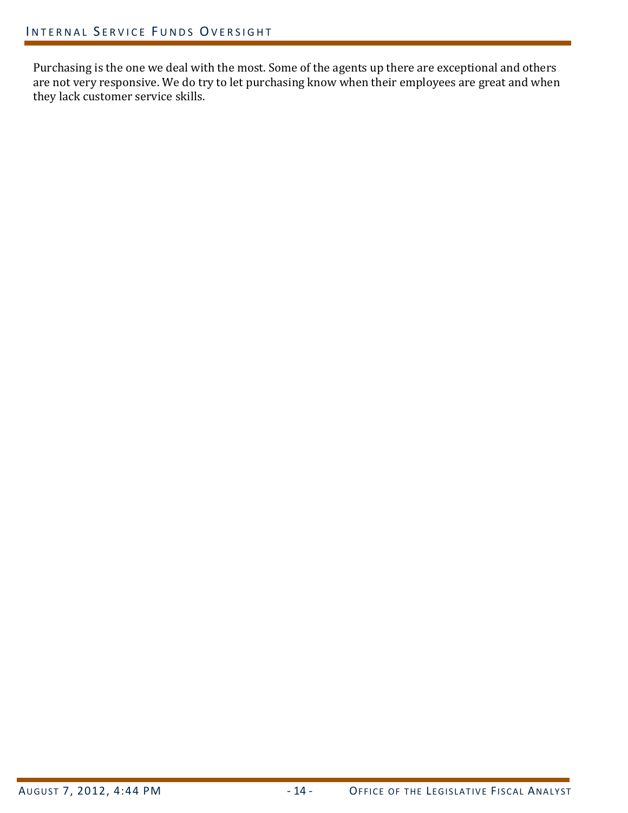Purchasing is the one we deal with the most. Some of the agents up there are exceptional and others are not very responsive. We do try to let purchasing know when their employees are great and when they lack customer service skills.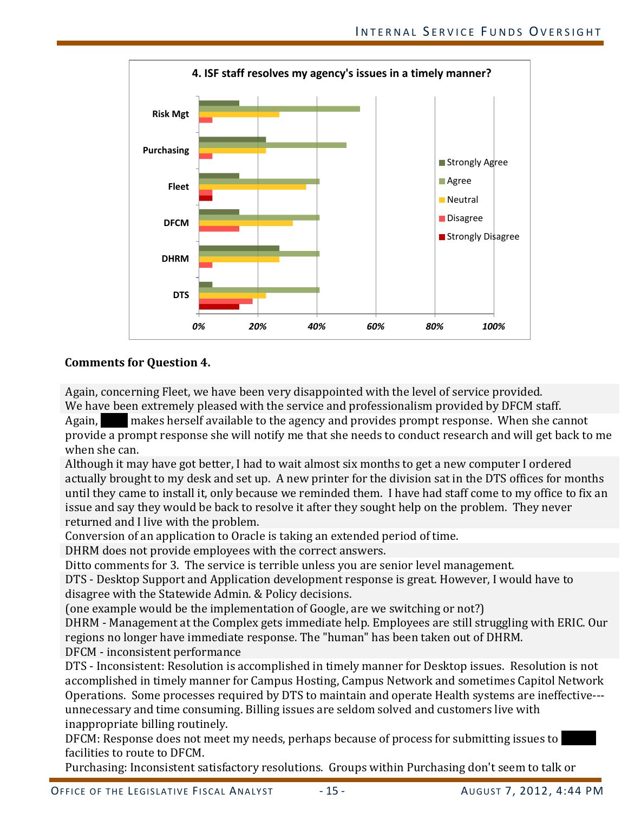

#### **Comments for Question 4.**

Again, concerning Fleet, we have been very disappointed with the level of service provided.

We have been extremely pleased with the service and professionalism provided by DFCM staff.<br>Again, **the makes herself available to the agency and provides prompt response.** When she ca makes herself available to the agency and provides prompt response. When she cannot provide a prompt response she will notify me that she needs to conduct research and will get back to me when she can.

Although it may have got better, I had to wait almost six months to get a new computer I ordered actually brought to my desk and set up. A new printer for the division sat in the DTS offices for months until they came to install it, only because we reminded them. I have had staff come to my office to fix an issue and say they would be back to resolve it after they sought help on the problem. They never returned and I live with the problem.

Conversion of an application to Oracle is taking an extended period of time.

DHRM does not provide employees with the correct answers.

Ditto comments for 3. The service is terrible unless you are senior level management.

DTS - Desktop Support and Application development response is great. However, I would have to disagree with the Statewide Admin. & Policy decisions.

(one example would be the implementation of Google, are we switching or not?)

DHRM - Management at the Complex gets immediate help. Employees are still struggling with ERIC. Our regions no longer have immediate response. The "human" has been taken out of DHRM. DFCM - inconsistent performance

DTS - Inconsistent: Resolution is accomplished in timely manner for Desktop issues. Resolution is not accomplished in timely manner for Campus Hosting, Campus Network and sometimes Capitol Network Operations. Some processes required by DTS to maintain and operate Health systems are ineffective-- unnecessary and time consuming. Billing issues are seldom solved and customers live with inappropriate billing routinely.

DFCM: Response does not meet my needs, perhaps because of process for submitting issues to facilities to route to DFCM.

Purchasing: Inconsistent satisfactory resolutions. Groups within Purchasing don't seem to talk or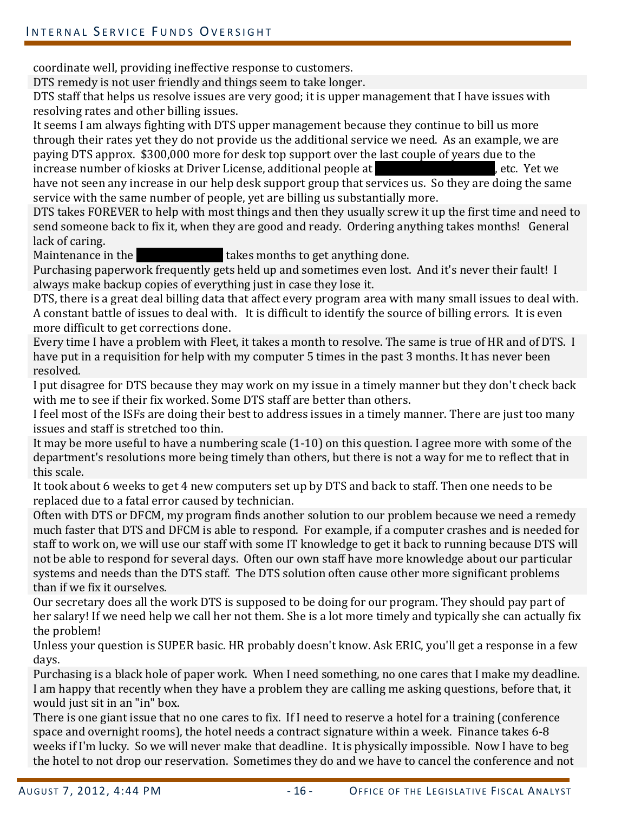coordinate well, providing ineffective response to customers.

DTS remedy is not user friendly and things seem to take longer.

DTS staff that helps us resolve issues are very good; it is upper management that I have issues with resolving rates and other billing issues.

It seems I am always fighting with DTS upper management because they continue to bill us more through their rates yet they do not provide us the additional service we need. As an example, we are paying DTS approx. \$300,000 more for desk top support over the last couple of years due to the increase number of kiosks at Driver License, additional people at increase number of kiosks at Driver License, additional people at have not seen any increase in our help desk support group that services us. So they are doing the same

service with the same number of people, yet are billing us substantially more. DTS takes FOREVER to help with most things and then they usually screw it up the first time and need to send someone back to fix it, when they are good and ready. Ordering anything takes months! General

lack of caring.<br>Maintenance in the **l** takes months to get anything done.

Purchasing paperwork frequently gets held up and sometimes even lost. And it's never their fault! I always make backup copies of everything just in case they lose it.

DTS, there is a great deal billing data that affect every program area with many small issues to deal with. A constant battle of issues to deal with. It is difficult to identify the source of billing errors. It is even more difficult to get corrections done.

Every time I have a problem with Fleet, it takes a month to resolve. The same is true of HR and of DTS. I have put in a requisition for help with my computer 5 times in the past 3 months. It has never been resolved.

I put disagree for DTS because they may work on my issue in a timely manner but they don't check back with me to see if their fix worked. Some DTS staff are better than others.

I feel most of the ISFs are doing their best to address issues in a timely manner. There are just too many issues and staff is stretched too thin.

It may be more useful to have a numbering scale (1-10) on this question. I agree more with some of the department's resolutions more being timely than others, but there is not a way for me to reflect that in this scale.

It took about 6 weeks to get 4 new computers set up by DTS and back to staff. Then one needs to be replaced due to a fatal error caused by technician.

Often with DTS or DFCM, my program finds another solution to our problem because we need a remedy much faster that DTS and DFCM is able to respond. For example, if a computer crashes and is needed for staff to work on, we will use our staff with some IT knowledge to get it back to running because DTS will not be able to respond for several days. Often our own staff have more knowledge about our particular systems and needs than the DTS staff. The DTS solution often cause other more significant problems than if we fix it ourselves.

Our secretary does all the work DTS is supposed to be doing for our program. They should pay part of her salary! If we need help we call her not them. She is a lot more timely and typically she can actually fix the problem!

Unless your question is SUPER basic. HR probably doesn't know. Ask ERIC, you'll get a response in a few days.

Purchasing is a black hole of paper work. When I need something, no one cares that I make my deadline. I am happy that recently when they have a problem they are calling me asking questions, before that, it would just sit in an "in" box.

There is one giant issue that no one cares to fix. If I need to reserve a hotel for a training (conference space and overnight rooms), the hotel needs a contract signature within a week. Finance takes 6-8 weeks if I'm lucky. So we will never make that deadline. It is physically impossible. Now I have to beg the hotel to not drop our reservation. Sometimes they do and we have to cancel the conference and not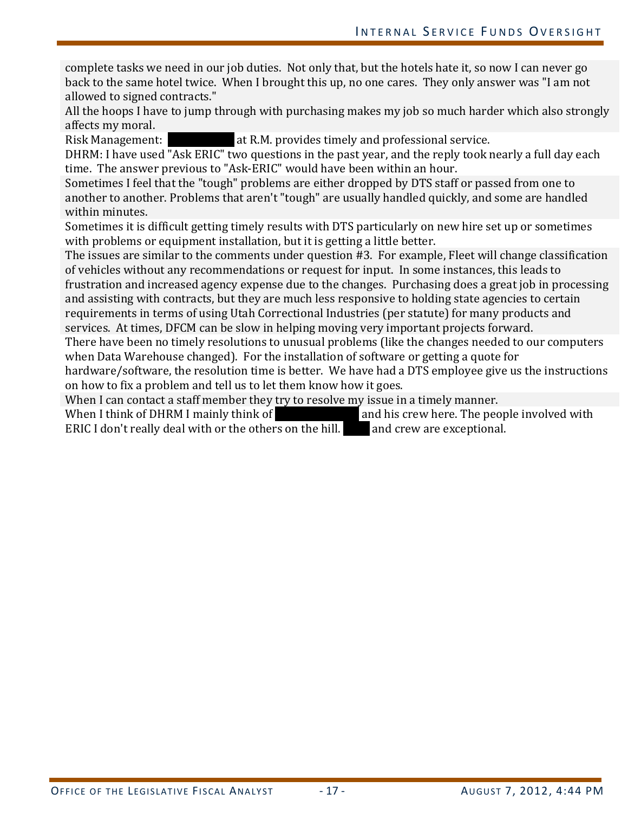complete tasks we need in our job duties. Not only that, but the hotels hate it, so now I can never go back to the same hotel twice. When I brought this up, no one cares. They only answer was "I am not allowed to signed contracts."

All the hoops I have to jump through with purchasing makes my job so much harder which also strongly affects my moral.<br>Risk Management:

at R.M. provides timely and professional service.

DHRM: I have used "Ask ERIC" two questions in the past year, and the reply took nearly a full day each time. The answer previous to "Ask-ERIC" would have been within an hour.

Sometimes I feel that the "tough" problems are either dropped by DTS staff or passed from one to another to another. Problems that aren't "tough" are usually handled quickly, and some are handled within minutes.

Sometimes it is difficult getting timely results with DTS particularly on new hire set up or sometimes with problems or equipment installation, but it is getting a little better.

The issues are similar to the comments under question #3. For example, Fleet will change classification of vehicles without any recommendations or request for input. In some instances, this leads to frustration and increased agency expense due to the changes. Purchasing does a great job in processing and assisting with contracts, but they are much less responsive to holding state agencies to certain requirements in terms of using Utah Correctional Industries (per statute) for many products and services. At times, DFCM can be slow in helping moving very important projects forward.

There have been no timely resolutions to unusual problems (like the changes needed to our computers when Data Warehouse changed). For the installation of software or getting a quote for

hardware/software, the resolution time is better. We have had a DTS employee give us the instructions on how to fix a problem and tell us to let them know how it goes.

When I can contact a staff member they try to resolve my issue in a timely manner.<br>When I think of DHRM I mainly think of **the same in a** and his crew here. The people involved with When I think of DHRM I mainly think of **David Rodeman Cand his crew here. The people involved** with ERIC I don't really deal with or the others on the hill. **Dava and crew are exceptional**.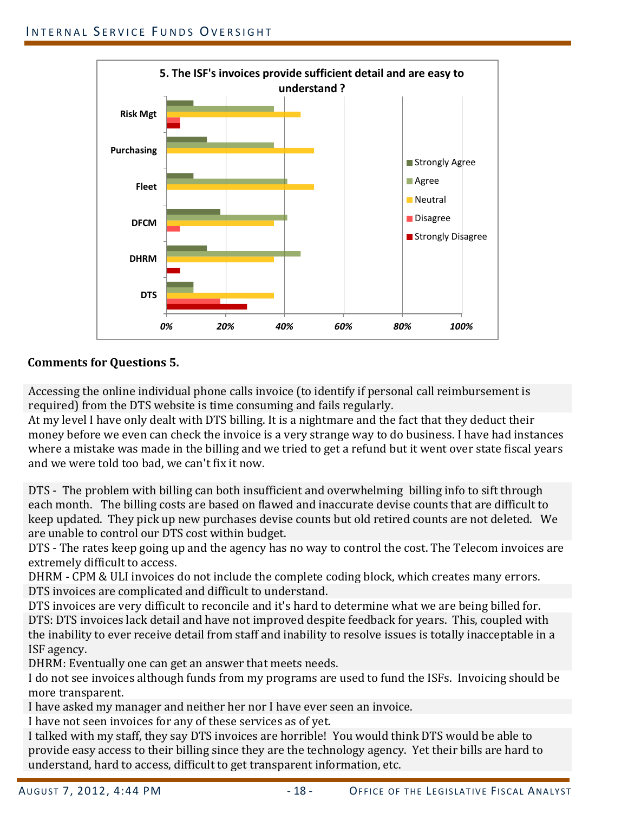

# **Comments for Questions 5.**

Accessing the online individual phone calls invoice (to identify if personal call reimbursement is required) from the DTS website is time consuming and fails regularly.

At my level I have only dealt with DTS billing. It is a nightmare and the fact that they deduct their money before we even can check the invoice is a very strange way to do business. I have had instances where a mistake was made in the billing and we tried to get a refund but it went over state fiscal years and we were told too bad, we can't fix it now.

DTS - The problem with billing can both insufficient and overwhelming billing info to sift through each month. The billing costs are based on flawed and inaccurate devise counts that are difficult to keep updated. They pick up new purchases devise counts but old retired counts are not deleted. We are unable to control our DTS cost within budget.

DTS - The rates keep going up and the agency has no way to control the cost. The Telecom invoices are extremely difficult to access.

DHRM - CPM & ULI invoices do not include the complete coding block, which creates many errors. DTS invoices are complicated and difficult to understand.

DTS invoices are very difficult to reconcile and it's hard to determine what we are being billed for. DTS: DTS invoices lack detail and have not improved despite feedback for years. This, coupled with the inability to ever receive detail from staff and inability to resolve issues is totally inacceptable in a ISF agency.

DHRM: Eventually one can get an answer that meets needs.

I do not see invoices although funds from my programs are used to fund the ISFs. Invoicing should be more transparent.

I have asked my manager and neither her nor I have ever seen an invoice.

I have not seen invoices for any of these services as of yet.

I talked with my staff, they say DTS invoices are horrible! You would think DTS would be able to provide easy access to their billing since they are the technology agency. Yet their bills are hard to understand, hard to access, difficult to get transparent information, etc.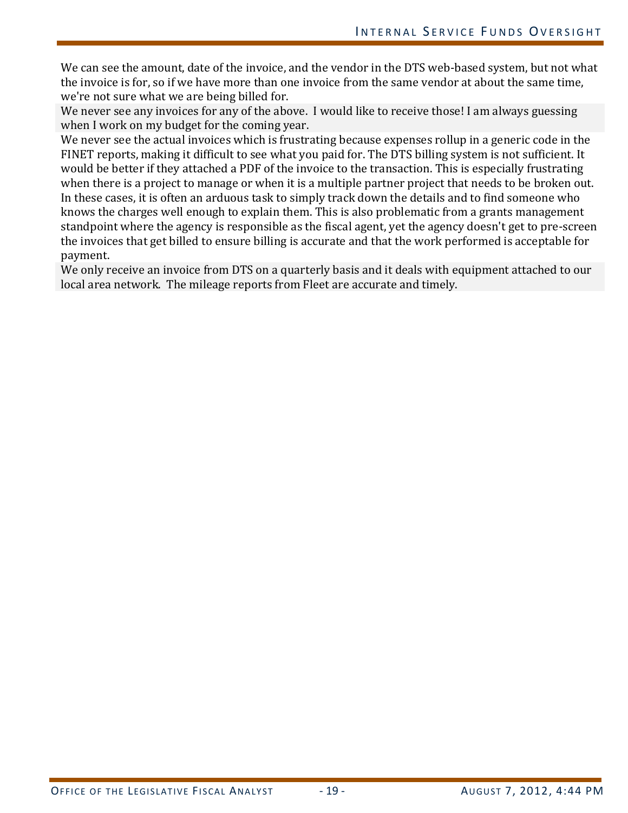We can see the amount, date of the invoice, and the vendor in the DTS web-based system, but not what the invoice is for, so if we have more than one invoice from the same vendor at about the same time, we're not sure what we are being billed for.

We never see any invoices for any of the above. I would like to receive those! I am always guessing when I work on my budget for the coming year.

We never see the actual invoices which is frustrating because expenses rollup in a generic code in the FINET reports, making it difficult to see what you paid for. The DTS billing system is not sufficient. It would be better if they attached a PDF of the invoice to the transaction. This is especially frustrating when there is a project to manage or when it is a multiple partner project that needs to be broken out. In these cases, it is often an arduous task to simply track down the details and to find someone who knows the charges well enough to explain them. This is also problematic from a grants management standpoint where the agency is responsible as the fiscal agent, yet the agency doesn't get to pre-screen the invoices that get billed to ensure billing is accurate and that the work performed is acceptable for payment.

We only receive an invoice from DTS on a quarterly basis and it deals with equipment attached to our local area network. The mileage reports from Fleet are accurate and timely.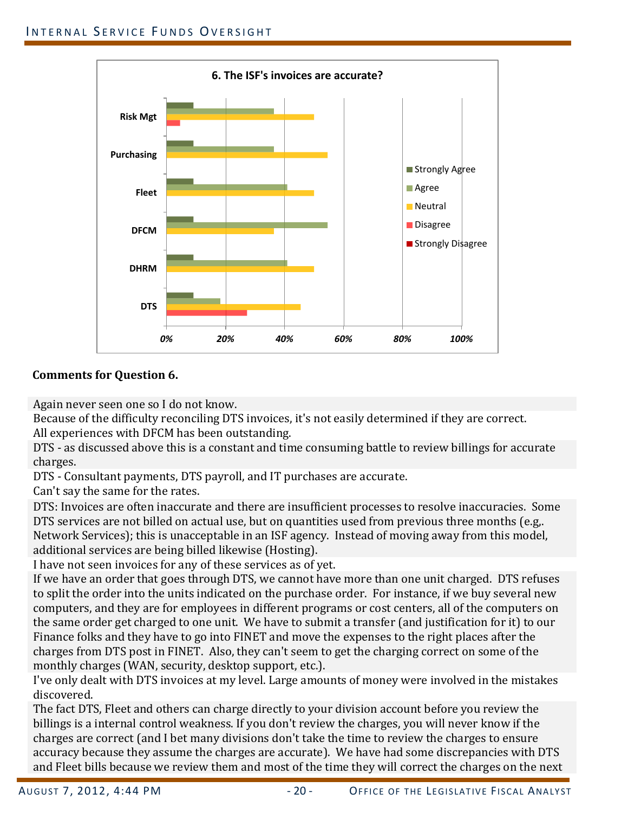

# **Comments for Question 6.**

Again never seen one so I do not know.

Because of the difficulty reconciling DTS invoices, it's not easily determined if they are correct. All experiences with DFCM has been outstanding.

DTS - as discussed above this is a constant and time consuming battle to review billings for accurate charges.

DTS - Consultant payments, DTS payroll, and IT purchases are accurate.

Can't say the same for the rates.

DTS: Invoices are often inaccurate and there are insufficient processes to resolve inaccuracies. Some DTS services are not billed on actual use, but on quantities used from previous three months (e.g,. Network Services); this is unacceptable in an ISF agency. Instead of moving away from this model, additional services are being billed likewise (Hosting).

I have not seen invoices for any of these services as of yet.

If we have an order that goes through DTS, we cannot have more than one unit charged. DTS refuses to split the order into the units indicated on the purchase order. For instance, if we buy several new computers, and they are for employees in different programs or cost centers, all of the computers on the same order get charged to one unit. We have to submit a transfer (and justification for it) to our Finance folks and they have to go into FINET and move the expenses to the right places after the charges from DTS post in FINET. Also, they can't seem to get the charging correct on some of the monthly charges (WAN, security, desktop support, etc.).

I've only dealt with DTS invoices at my level. Large amounts of money were involved in the mistakes discovered.

The fact DTS, Fleet and others can charge directly to your division account before you review the billings is a internal control weakness. If you don't review the charges, you will never know if the charges are correct (and I bet many divisions don't take the time to review the charges to ensure accuracy because they assume the charges are accurate). We have had some discrepancies with DTS and Fleet bills because we review them and most of the time they will correct the charges on the next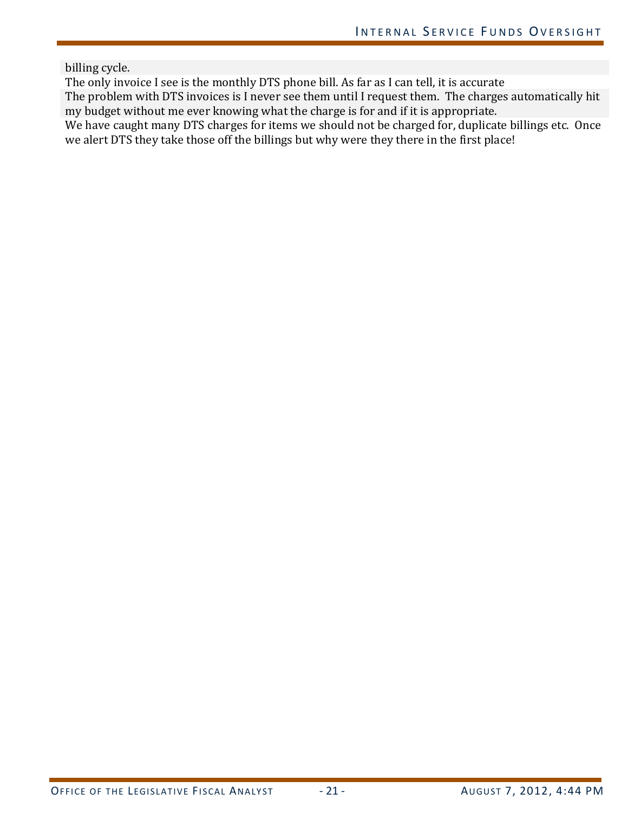billing cycle.

The only invoice I see is the monthly DTS phone bill. As far as I can tell, it is accurate

The problem with DTS invoices is I never see them until I request them. The charges automatically hit my budget without me ever knowing what the charge is for and if it is appropriate.

We have caught many DTS charges for items we should not be charged for, duplicate billings etc. Once we alert DTS they take those off the billings but why were they there in the first place!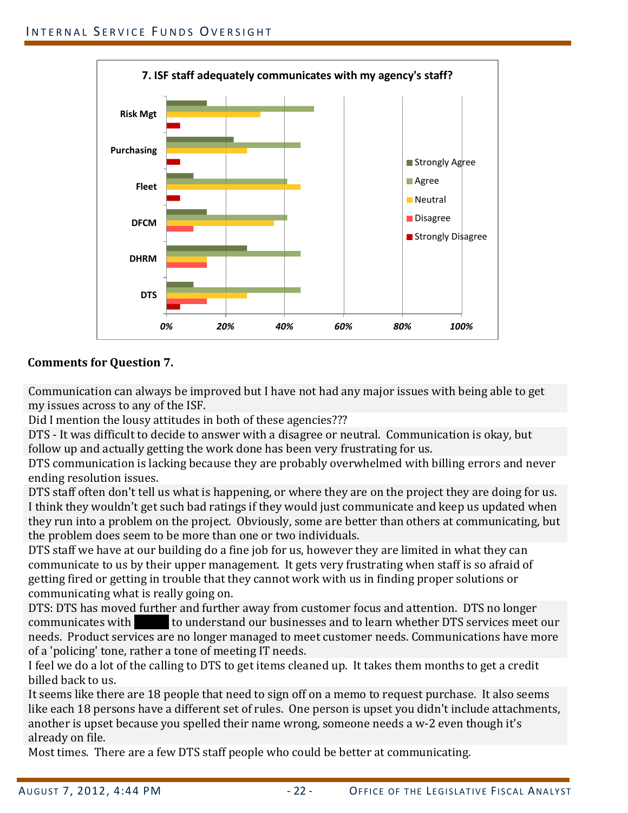

# **Comments for Question 7.**

Communication can always be improved but I have not had any major issues with being able to get my issues across to any of the ISF.

Did I mention the lousy attitudes in both of these agencies???

DTS - It was difficult to decide to answer with a disagree or neutral. Communication is okay, but follow up and actually getting the work done has been very frustrating for us.

DTS communication is lacking because they are probably overwhelmed with billing errors and never ending resolution issues.

DTS staff often don't tell us what is happening, or where they are on the project they are doing for us. I think they wouldn't get such bad ratings if they would just communicate and keep us updated when they run into a problem on the project. Obviously, some are better than others at communicating, but the problem does seem to be more than one or two individuals.

DTS staff we have at our building do a fine job for us, however they are limited in what they can communicate to us by their upper management. It gets very frustrating when staff is so afraid of getting fired or getting in trouble that they cannot work with us in finding proper solutions or communicating what is really going on.

DTS: DTS has moved further and further away from customer focus and attention. DTS no longer communicates with to understand our businesses and to learn whether DTS services meet to understand our businesses and to learn whether DTS services meet our needs. Product services are no longer managed to meet customer needs. Communications have more of a 'policing' tone, rather a tone of meeting IT needs.

I feel we do a lot of the calling to DTS to get items cleaned up. It takes them months to get a credit billed back to us.

It seems like there are 18 people that need to sign off on a memo to request purchase. It also seems like each 18 persons have a different set of rules. One person is upset you didn't include attachments, another is upset because you spelled their name wrong, someone needs a w-2 even though it's already on file.

Most times. There are a few DTS staff people who could be better at communicating.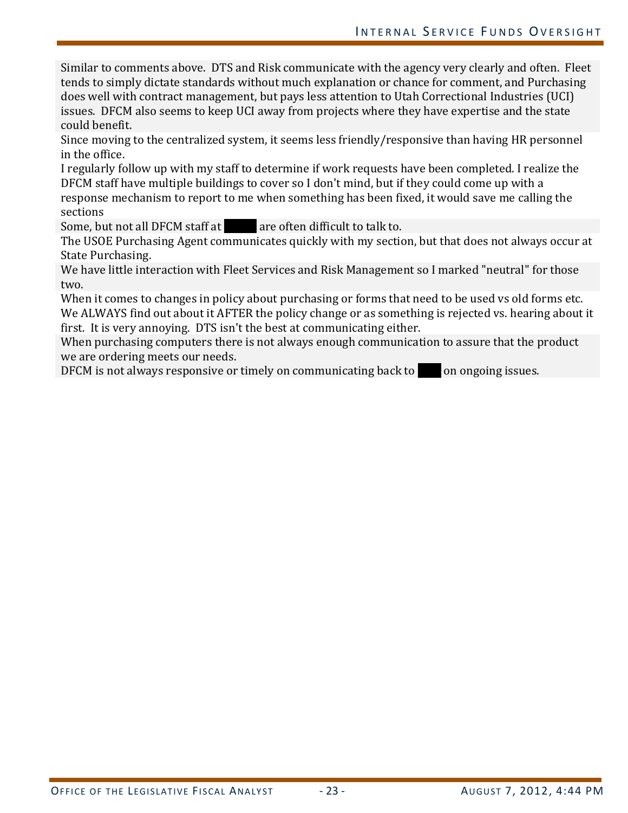Similar to comments above. DTS and Risk communicate with the agency very clearly and often. Fleet tends to simply dictate standards without much explanation or chance for comment, and Purchasing does well with contract management, but pays less attention to Utah Correctional Industries (UCI) issues. DFCM also seems to keep UCI away from projects where they have expertise and the state could benefit.

Since moving to the centralized system, it seems less friendly/responsive than having HR personnel in the office.

I regularly follow up with my staff to determine if work requests have been completed. I realize the DFCM staff have multiple buildings to cover so I don't mind, but if they could come up with a response mechanism to report to me when something has been fixed, it would save me calling the sections

Some, but not all DFCM staff at are often difficult to talk to.

The USOE Purchasing Agent communicates quickly with my section, but that does not always occur at State Purchasing.

We have little interaction with Fleet Services and Risk Management so I marked "neutral" for those two.

When it comes to changes in policy about purchasing or forms that need to be used vs old forms etc. We ALWAYS find out about it AFTER the policy change or as something is rejected vs. hearing about it first. It is very annoying. DTS isn't the best at communicating either.

When purchasing computers there is not always enough communication to assure that the product we are ordering meets our needs.

DFCM is not always responsive or timely on communicating back to  $\Box$  on ongoing issues.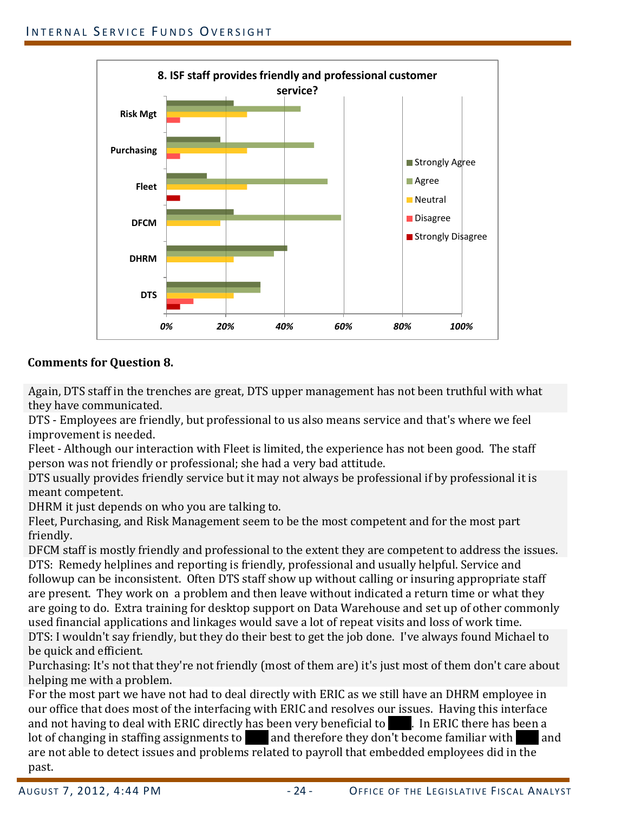

#### **Comments for Question 8.**

Again, DTS staff in the trenches are great, DTS upper management has not been truthful with what they have communicated.

DTS - Employees are friendly, but professional to us also means service and that's where we feel improvement is needed.

Fleet - Although our interaction with Fleet is limited, the experience has not been good. The staff person was not friendly or professional; she had a very bad attitude.

DTS usually provides friendly service but it may not always be professional if by professional it is meant competent.

DHRM it just depends on who you are talking to.

Fleet, Purchasing, and Risk Management seem to be the most competent and for the most part friendly.

DFCM staff is mostly friendly and professional to the extent they are competent to address the issues. DTS: Remedy helplines and reporting is friendly, professional and usually helpful. Service and followup can be inconsistent. Often DTS staff show up without calling or insuring appropriate staff are present. They work on a problem and then leave without indicated a return time or what they are going to do. Extra training for desktop support on Data Warehouse and set up of other commonly used financial applications and linkages would save a lot of repeat visits and loss of work time. DTS: I wouldn't say friendly, but they do their best to get the job done. I've always found Michael to be quick and efficient.

Purchasing: It's not that they're not friendly (most of them are) it's just most of them don't care about helping me with a problem.

For the most part we have not had to deal directly with ERIC as we still have an DHRM employee in our office that does most of the interfacing with ERIC and resolves our issues. Having this interface and not having to deal with ERIC directly has been very beneficial to  $\Box$ . In ERIC there has been a lot of changing in staffing assignments to and therefore they don't become familiar with and lot of changing in staffing assignments to  $\Box$  and therefore they don't become familiar with are not able to detect issues and problems related to payroll that embedded employees did in the past.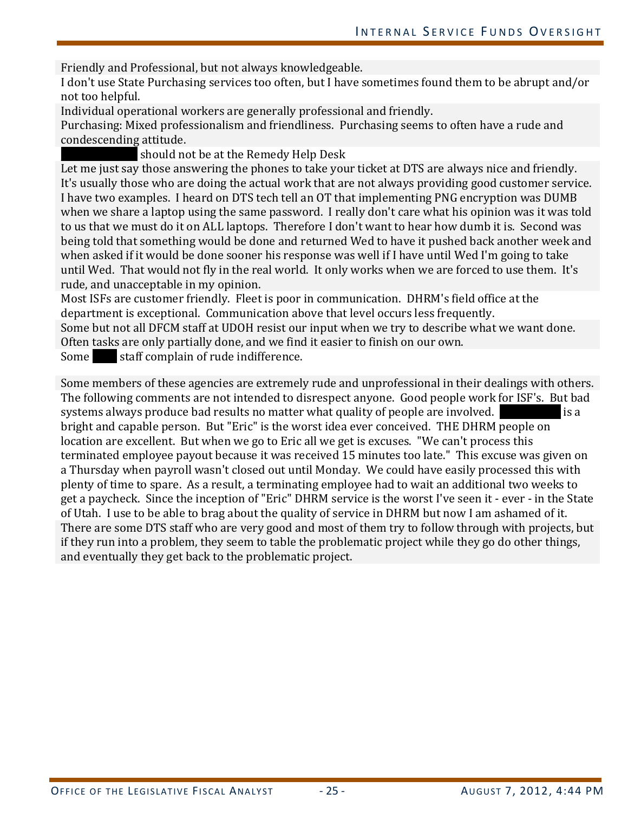Friendly and Professional, but not always knowledgeable.

I don't use State Purchasing services too often, but I have sometimes found them to be abrupt and/or not too helpful.

Individual operational workers are generally professional and friendly.

Purchasing: Mixed professionalism and friendliness. Purchasing seems to often have a rude and condescending attitude.

should not be at the Remedy Help Desk

Let me just say those answering the phones to take your ticket at DTS are always nice and friendly. It's usually those who are doing the actual work that are not always providing good customer service. I have two examples. I heard on DTS tech tell an OT that implementing PNG encryption was DUMB when we share a laptop using the same password. I really don't care what his opinion was it was told to us that we must do it on ALL laptops. Therefore I don't want to hear how dumb it is. Second was being told that something would be done and returned Wed to have it pushed back another week and when asked if it would be done sooner his response was well if I have until Wed I'm going to take until Wed. That would not fly in the real world. It only works when we are forced to use them. It's rude, and unacceptable in my opinion.

Most ISFs are customer friendly. Fleet is poor in communication. DHRM's field office at the department is exceptional. Communication above that level occurs less frequently.

Some but not all DFCM staff at UDOH resist our input when we try to describe what we want done. Often tasks are only partially done, and we find it easier to finish on our own.<br>Some staff complain of rude indifference.

staff complain of rude indifference.

Some members of these agencies are extremely rude and unprofessional in their dealings with others. The following comments are not intended to disrespect anyone. Good people work for ISF's. But bad systems always produce bad results no matter what quality of people are involved. systems always produce bad results no matter what quality of people are involved. bright and capable person. But "Eric" is the worst idea ever conceived. THE DHRM people on location are excellent. But when we go to Eric all we get is excuses. "We can't process this terminated employee payout because it was received 15 minutes too late." This excuse was given on a Thursday when payroll wasn't closed out until Monday. We could have easily processed this with plenty of time to spare. As a result, a terminating employee had to wait an additional two weeks to get a paycheck. Since the inception of "Eric" DHRM service is the worst I've seen it - ever - in the State of Utah. I use to be able to brag about the quality of service in DHRM but now I am ashamed of it. There are some DTS staff who are very good and most of them try to follow through with projects, but if they run into a problem, they seem to table the problematic project while they go do other things, and eventually they get back to the problematic project.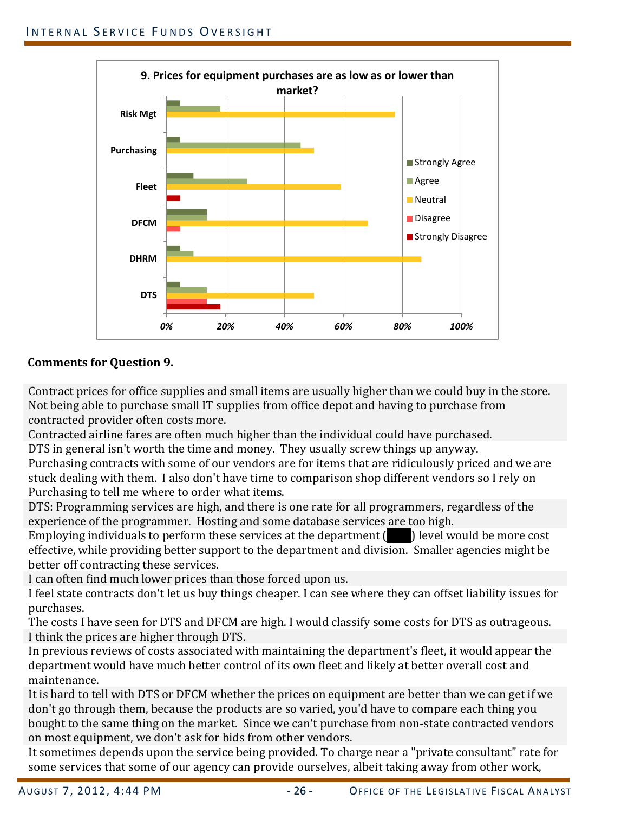

# **Comments for Question 9.**

Contract prices for office supplies and small items are usually higher than we could buy in the store. Not being able to purchase small IT supplies from office depot and having to purchase from contracted provider often costs more.

Contracted airline fares are often much higher than the individual could have purchased. DTS in general isn't worth the time and money. They usually screw things up anyway.

Purchasing contracts with some of our vendors are for items that are ridiculously priced and we are stuck dealing with them. I also don't have time to comparison shop different vendors so I rely on Purchasing to tell me where to order what items.

DTS: Programming services are high, and there is one rate for all programmers, regardless of the experience of the programmer. Hosting and some database services are too high.

Employing individuals to perform these services at the department  $\begin{pmatrix} 0 & 1 \end{pmatrix}$  level would be more cost effective, while providing better support to the department and division. Smaller agencies might be better off contracting these services.

I can often find much lower prices than those forced upon us.

I feel state contracts don't let us buy things cheaper. I can see where they can offset liability issues for purchases.

The costs I have seen for DTS and DFCM are high. I would classify some costs for DTS as outrageous. I think the prices are higher through DTS.

In previous reviews of costs associated with maintaining the department's fleet, it would appear the department would have much better control of its own fleet and likely at better overall cost and maintenance.

It is hard to tell with DTS or DFCM whether the prices on equipment are better than we can get if we don't go through them, because the products are so varied, you'd have to compare each thing you bought to the same thing on the market. Since we can't purchase from non-state contracted vendors on most equipment, we don't ask for bids from other vendors.

It sometimes depends upon the service being provided. To charge near a "private consultant" rate for some services that some of our agency can provide ourselves, albeit taking away from other work,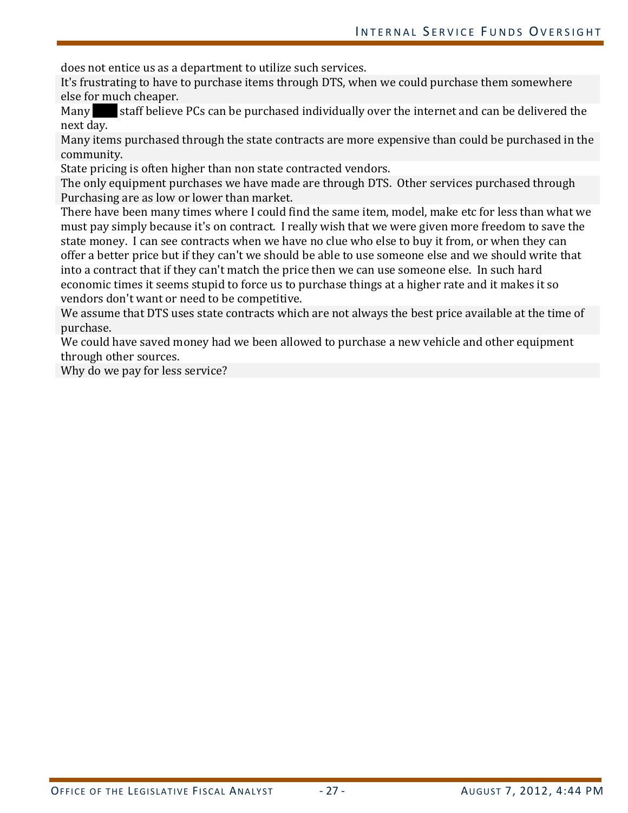does not entice us as a department to utilize such services.

It's frustrating to have to purchase items through DTS, when we could purchase them somewhere else for much cheaper.<br>Many staff believe

staff believe PCs can be purchased individually over the internet and can be delivered the next day.

Many items purchased through the state contracts are more expensive than could be purchased in the community.

State pricing is often higher than non state contracted vendors.

The only equipment purchases we have made are through DTS. Other services purchased through Purchasing are as low or lower than market.

There have been many times where I could find the same item, model, make etc for less than what we must pay simply because it's on contract. I really wish that we were given more freedom to save the state money. I can see contracts when we have no clue who else to buy it from, or when they can offer a better price but if they can't we should be able to use someone else and we should write that into a contract that if they can't match the price then we can use someone else. In such hard economic times it seems stupid to force us to purchase things at a higher rate and it makes it so vendors don't want or need to be competitive.

We assume that DTS uses state contracts which are not always the best price available at the time of purchase.

We could have saved money had we been allowed to purchase a new vehicle and other equipment through other sources.

Why do we pay for less service?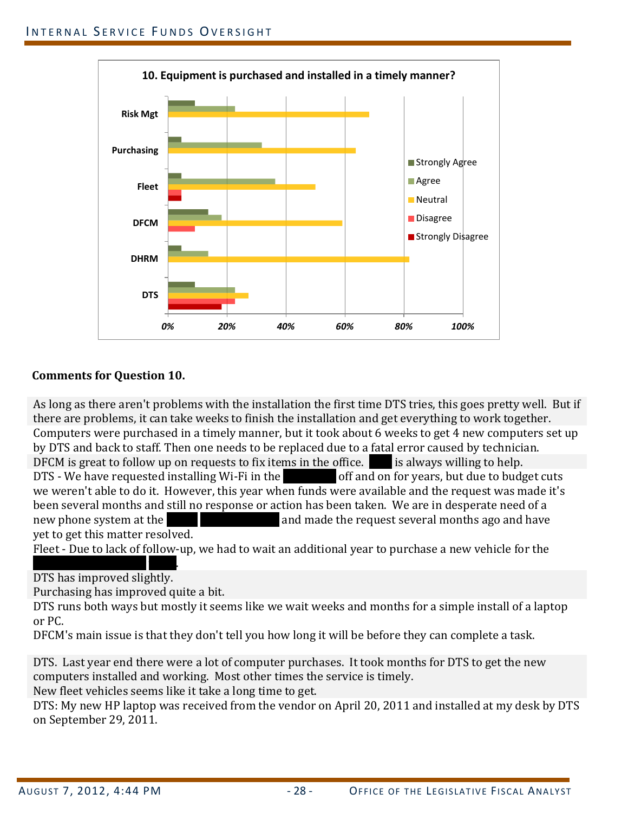

#### **Comments for Question 10.**

As long as there aren't problems with the installation the first time DTS tries, this goes pretty well. But if there are problems, it can take weeks to finish the installation and get everything to work together. Computers were purchased in a timely manner, but it took about 6 weeks to get 4 new computers set up by DTS and back to staff. Then one needs to be replaced due to a fatal error caused by technician. DFCM is great to follow up on requests to fix items in the office.  $\Box$  is always willing to help. DTS - We have requested installing Wi-Fi in the  $\blacksquare$  off and on for years, but due to budget cuts we weren't able to do it. However, this year when funds were available and the request was made it's been several months and still no response or action has been taken. We are in desperate need of a new phone system at the  $\overline{\phantom{a}}$  and made the request several months ago and have and made the request several months ago and have yet to get this matter resolved.

Fleet - Due to lack of follow-up, we had to wait an additional year to purchase a new vehicle for the

<u>Traveling Exhibitions truck.</u> DTS has improved slightly.

Purchasing has improved quite a bit.

DTS runs both ways but mostly it seems like we wait weeks and months for a simple install of a laptop or PC.

DFCM's main issue is that they don't tell you how long it will be before they can complete a task.

DTS. Last year end there were a lot of computer purchases. It took months for DTS to get the new computers installed and working. Most other times the service is timely.

New fleet vehicles seems like it take a long time to get.

DTS: My new HP laptop was received from the vendor on April 20, 2011 and installed at my desk by DTS on September 29, 2011.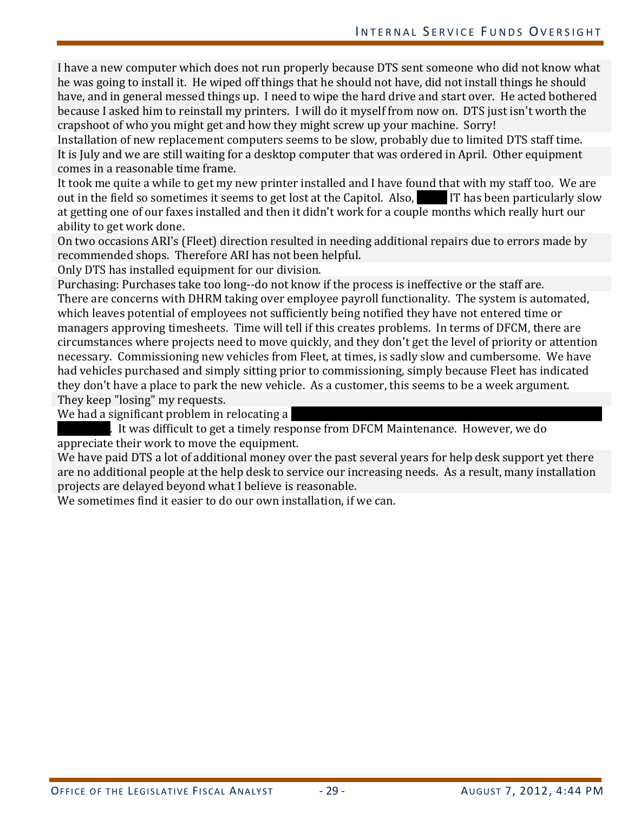I have a new computer which does not run properly because DTS sent someone who did not know what he was going to install it. He wiped off things that he should not have, did not install things he should have, and in general messed things up. I need to wipe the hard drive and start over. He acted bothered because I asked him to reinstall my printers. I will do it myself from now on. DTS just isn't worth the crapshoot of who you might get and how they might screw up your machine. Sorry!

Installation of new replacement computers seems to be slow, probably due to limited DTS staff time. It is July and we are still waiting for a desktop computer that was ordered in April. Other equipment comes in a reasonable time frame.

It took me quite a while to get my new printer installed and I have found that with my staff too. We are out in the field so sometimes it seems to get lost at the Capitol. Also, out in the field so sometimes it seems to get lost at the Capitol. Also, at getting one of our faxes installed and then it didn't work for a couple months which really hurt our ability to get work done.

On two occasions ARI's (Fleet) direction resulted in needing additional repairs due to errors made by recommended shops. Therefore ARI has not been helpful.

Only DTS has installed equipment for our division.

Purchasing: Purchases take too long--do not know if the process is ineffective or the staff are. There are concerns with DHRM taking over employee payroll functionality. The system is automated, which leaves potential of employees not sufficiently being notified they have not entered time or managers approving timesheets. Time will tell if this creates problems. In terms of DFCM, there are circumstances where projects need to move quickly, and they don't get the level of priority or attention necessary. Commissioning new vehicles from Fleet, at times, is sadly slow and cumbersome. We have had vehicles purchased and simply sitting prior to commissioning, simply because Fleet has indicated they don't have a place to park the new vehicle. As a customer, this seems to be a week argument. They keep "losing" my requests.

We had a significant problem in relocating a

to It was difficult to get a timely response from DFCM Maintenance. However, we do appreciate their work to move the equipment.

We have paid DTS a lot of additional money over the past several years for help desk support yet there are no additional people at the help desk to service our increasing needs. As a result, many installation projects are delayed beyond what I believe is reasonable.

We sometimes find it easier to do our own installation, if we can.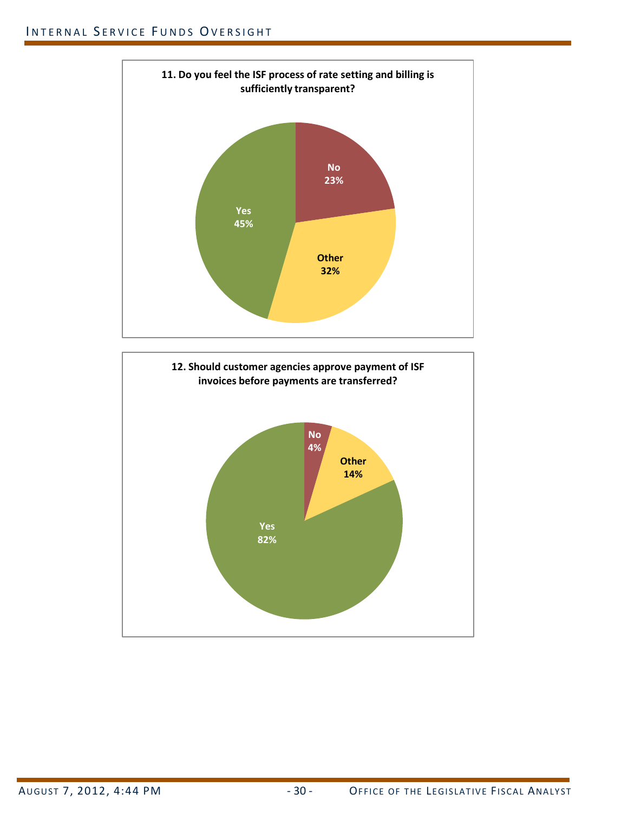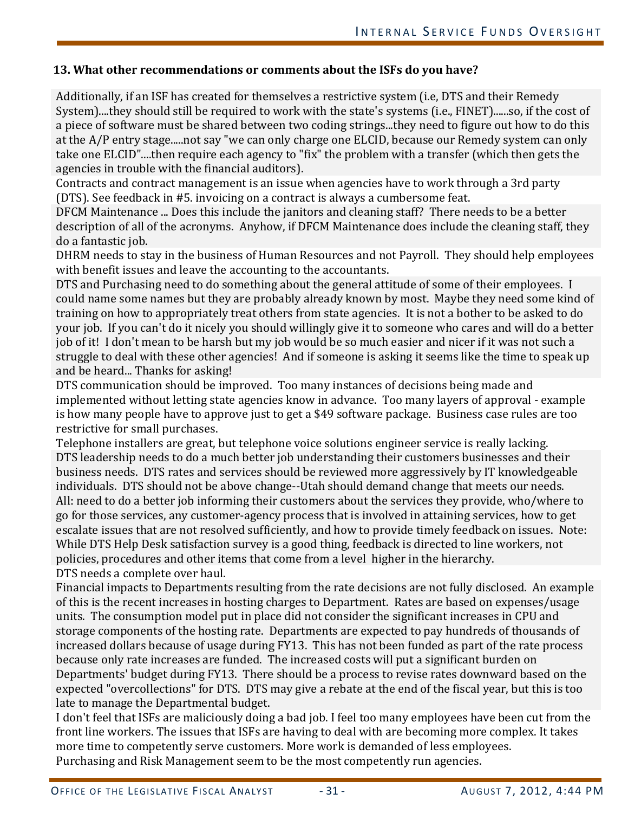#### **13. What other recommendations or comments about the ISFs do you have?**

Additionally, if an ISF has created for themselves a restrictive system (i.e, DTS and their Remedy System)....they should still be required to work with the state's systems (i.e., FINET)......so, if the cost of a piece of software must be shared between two coding strings...they need to figure out how to do this at the A/P entry stage.....not say "we can only charge one ELCID, because our Remedy system can only take one ELCID"....then require each agency to "fix" the problem with a transfer (which then gets the agencies in trouble with the financial auditors).

Contracts and contract management is an issue when agencies have to work through a 3rd party (DTS). See feedback in #5. invoicing on a contract is always a cumbersome feat.

DFCM Maintenance ... Does this include the janitors and cleaning staff? There needs to be a better description of all of the acronyms. Anyhow, if DFCM Maintenance does include the cleaning staff, they do a fantastic job.

DHRM needs to stay in the business of Human Resources and not Payroll. They should help employees with benefit issues and leave the accounting to the accountants.

DTS and Purchasing need to do something about the general attitude of some of their employees. I could name some names but they are probably already known by most. Maybe they need some kind of training on how to appropriately treat others from state agencies. It is not a bother to be asked to do your job. If you can't do it nicely you should willingly give it to someone who cares and will do a better job of it! I don't mean to be harsh but my job would be so much easier and nicer if it was not such a struggle to deal with these other agencies! And if someone is asking it seems like the time to speak up and be heard... Thanks for asking!

DTS communication should be improved. Too many instances of decisions being made and implemented without letting state agencies know in advance. Too many layers of approval - example is how many people have to approve just to get a \$49 software package. Business case rules are too restrictive for small purchases.

Telephone installers are great, but telephone voice solutions engineer service is really lacking. DTS leadership needs to do a much better job understanding their customers businesses and their business needs. DTS rates and services should be reviewed more aggressively by IT knowledgeable individuals. DTS should not be above change--Utah should demand change that meets our needs. All: need to do a better job informing their customers about the services they provide, who/where to go for those services, any customer-agency process that is involved in attaining services, how to get escalate issues that are not resolved sufficiently, and how to provide timely feedback on issues. Note: While DTS Help Desk satisfaction survey is a good thing, feedback is directed to line workers, not policies, procedures and other items that come from a level higher in the hierarchy. DTS needs a complete over haul.

Financial impacts to Departments resulting from the rate decisions are not fully disclosed. An example of this is the recent increases in hosting charges to Department. Rates are based on expenses/usage units. The consumption model put in place did not consider the significant increases in CPU and storage components of the hosting rate. Departments are expected to pay hundreds of thousands of increased dollars because of usage during FY13. This has not been funded as part of the rate process because only rate increases are funded. The increased costs will put a significant burden on Departments' budget during FY13. There should be a process to revise rates downward based on the expected "overcollections" for DTS. DTS may give a rebate at the end of the fiscal year, but this is too late to manage the Departmental budget.

I don't feel that ISFs are maliciously doing a bad job. I feel too many employees have been cut from the front line workers. The issues that ISFs are having to deal with are becoming more complex. It takes more time to competently serve customers. More work is demanded of less employees. Purchasing and Risk Management seem to be the most competently run agencies.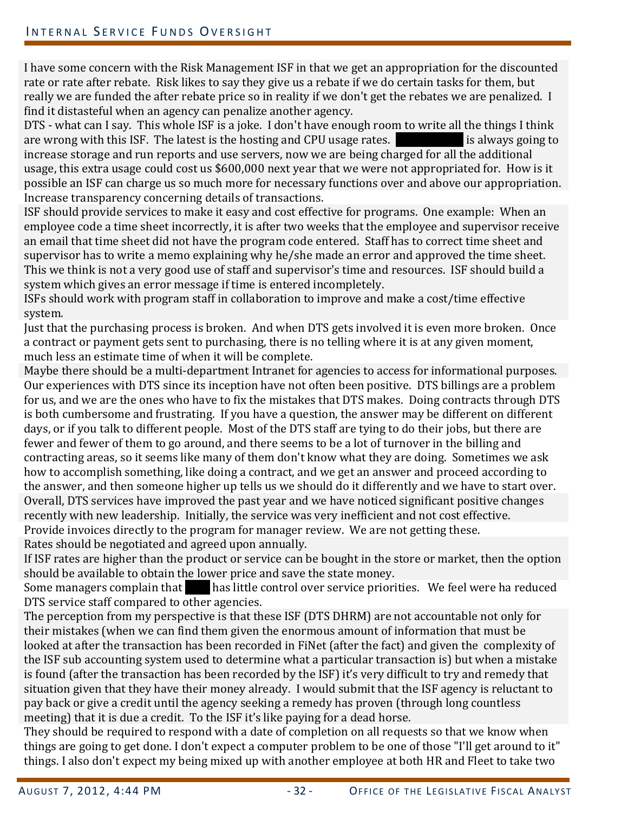I have some concern with the Risk Management ISF in that we get an appropriation for the discounted rate or rate after rebate. Risk likes to say they give us a rebate if we do certain tasks for them, but really we are funded the after rebate price so in reality if we don't get the rebates we are penalized. I find it distasteful when an agency can penalize another agency.

DTS - what can I say. This whole ISF is a joke. I don't have enough room to write all the things I think are wrong with this ISF. The latest is the hosting and CPU usage rates. are wrong with this ISF. The latest is the hosting and CPU usage rates. increase storage and run reports and use servers, now we are being charged for all the additional usage, this extra usage could cost us \$600,000 next year that we were not appropriated for. How is it possible an ISF can charge us so much more for necessary functions over and above our appropriation. Increase transparency concerning details of transactions.

ISF should provide services to make it easy and cost effective for programs. One example: When an employee code a time sheet incorrectly, it is after two weeks that the employee and supervisor receive an email that time sheet did not have the program code entered. Staff has to correct time sheet and supervisor has to write a memo explaining why he/she made an error and approved the time sheet. This we think is not a very good use of staff and supervisor's time and resources. ISF should build a system which gives an error message if time is entered incompletely.

ISFs should work with program staff in collaboration to improve and make a cost/time effective system.

Just that the purchasing process is broken. And when DTS gets involved it is even more broken. Once a contract or payment gets sent to purchasing, there is no telling where it is at any given moment, much less an estimate time of when it will be complete.

Maybe there should be a multi-department Intranet for agencies to access for informational purposes. Our experiences with DTS since its inception have not often been positive. DTS billings are a problem for us, and we are the ones who have to fix the mistakes that DTS makes. Doing contracts through DTS is both cumbersome and frustrating. If you have a question, the answer may be different on different days, or if you talk to different people. Most of the DTS staff are tying to do their jobs, but there are fewer and fewer of them to go around, and there seems to be a lot of turnover in the billing and contracting areas, so it seems like many of them don't know what they are doing. Sometimes we ask how to accomplish something, like doing a contract, and we get an answer and proceed according to the answer, and then someone higher up tells us we should do it differently and we have to start over. Overall, DTS services have improved the past year and we have noticed significant positive changes recently with new leadership. Initially, the service was very inefficient and not cost effective. Provide invoices directly to the program for manager review. We are not getting these. Rates should be negotiated and agreed upon annually.

If ISF rates are higher than the product or service can be bought in the store or market, then the option

should be available to obtain the lower price and save the state money. Some managers complain that has little control over service priorities. We feel were ha reduced DTS service staff compared to other agencies.

The perception from my perspective is that these ISF (DTS DHRM) are not accountable not only for their mistakes (when we can find them given the enormous amount of information that must be looked at after the transaction has been recorded in FiNet (after the fact) and given the complexity of the ISF sub accounting system used to determine what a particular transaction is) but when a mistake is found (after the transaction has been recorded by the ISF) it's very difficult to try and remedy that situation given that they have their money already. I would submit that the ISF agency is reluctant to pay back or give a credit until the agency seeking a remedy has proven (through long countless meeting) that it is due a credit. To the ISF it's like paying for a dead horse.

They should be required to respond with a date of completion on all requests so that we know when things are going to get done. I don't expect a computer problem to be one of those "I'll get around to it" things. I also don't expect my being mixed up with another employee at both HR and Fleet to take two